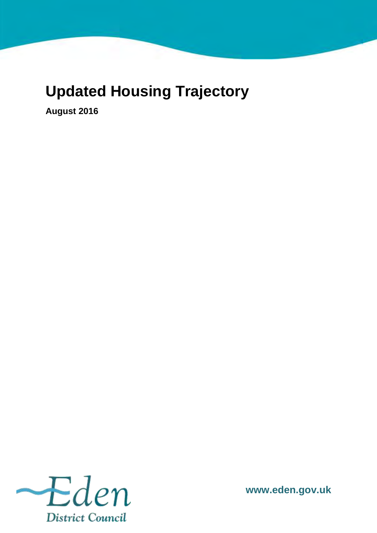## **Updated Housing Trajectory**

**August 2016** 



**www.eden.gov.uk**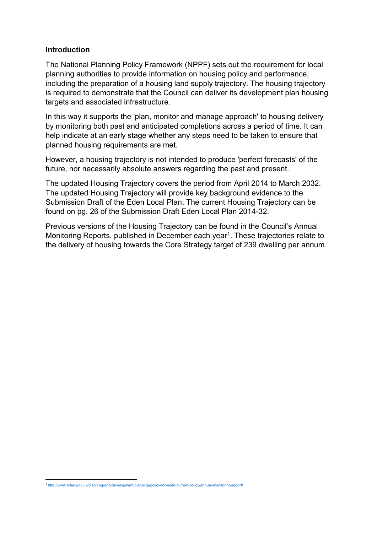## **Introduction**

The National Planning Policy Framework (NPPF) sets out the requirement for local planning authorities to provide information on housing policy and performance, including the preparation of a housing land supply trajectory. The housing trajectory is required to demonstrate that the Council can deliver its development plan housing targets and associated infrastructure.

In this way it supports the 'plan, monitor and manage approach' to housing delivery by monitoring both past and anticipated completions across a period of time. It can help indicate at an early stage whether any steps need to be taken to ensure that planned housing requirements are met.

However, a housing trajectory is not intended to produce 'perfect forecasts' of the future, nor necessarily absolute answers regarding the past and present.

The updated Housing Trajectory covers the period from April 2014 to March 2032. The updated Housing Trajectory will provide key background evidence to the Submission Draft of the Eden Local Plan. The current Housing Trajectory can be found on pg. 26 of the Submission Draft Eden Local Plan 2014-32.

Previous versions of the Housing Trajectory can be found in the Council's Annual Monitoring Reports, published in December each year<sup>1</sup>. These trajectories relate to the delivery of housing towards the Core Strategy target of 239 dwelling per annum.

 1 <http://www.eden.gov.uk/planning-and-development/planning-policy-for-eden/current-policy/annual-monitoring-report/>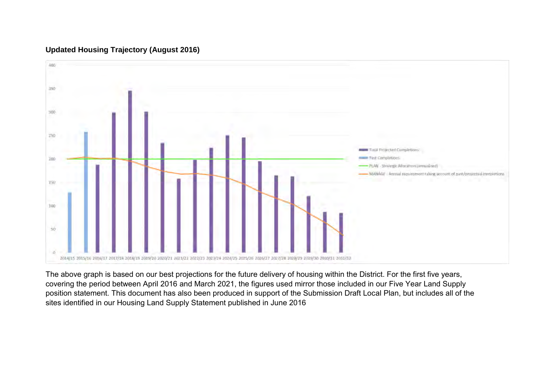

## **Updated Housing Trajectory (August 2016)**

The above graph is based on our best projections for the future delivery of housing within the District. For the first five years, covering the period between April 2016 and March 2021, the figures used mirror those included in our Five Year Land Supply position statement. This document has also been produced in support of the Submission Draft Local Plan, but includes all of the sites identified in our Housing Land Supply Statement published in June 2016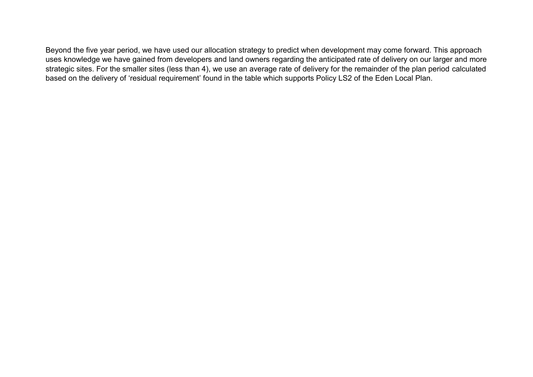Beyond the five year period, we have used our allocation strategy to predict when development may come forward. This approach uses knowledge we have gained from developers and land owners regarding the anticipated rate of delivery on our larger and more strategic sites. For the smaller sites (less than 4), we use an average rate of delivery for the remainder of the plan period calculated based on the delivery of 'residual requirement' found in the table which supports Policy LS2 of the Eden Local Plan.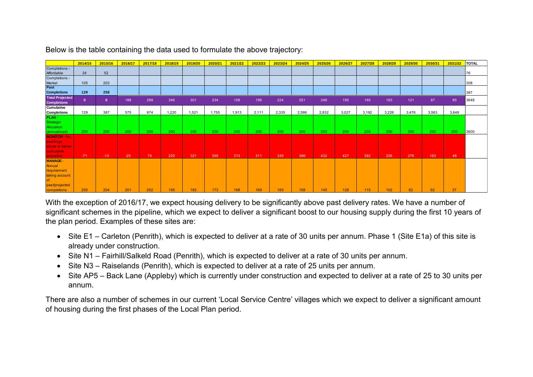|                                              | 2014/15   | 2015/16      | 2016/17 | 2017/18 | 2018/19 | 2019/20 | 2020/21 | 2021/22 | 2022/23 | 2023/24 | 2024/25 | 2025/26 | 2026/27 | 2027/28 | 2028/29 | 2029/30 | 2030/31 | 2031/32 | <b>TOTAL</b> |
|----------------------------------------------|-----------|--------------|---------|---------|---------|---------|---------|---------|---------|---------|---------|---------|---------|---------|---------|---------|---------|---------|--------------|
| Completions -<br>Affordable                  | 24        | 52           |         |         |         |         |         |         |         |         |         |         |         |         |         |         |         |         | 76           |
| Completions -<br><b>Market</b>               | 105       | 203          |         |         |         |         |         |         |         |         |         |         |         |         |         |         |         |         | 308          |
| Past<br><b>Completions</b>                   | 129       | 258          |         |         |         |         |         |         |         |         |         |         |         |         |         |         |         |         | 387          |
| <b>Total Projected</b><br><b>Completions</b> | $\bullet$ | $\mathbf{0}$ | 188     | 299     | 346     | 301     | 234     | 158     | 198     | 224     | 251     | 246     | 195     | 165     | 163     | $121$   | 87      | 85      | 3648         |
| Cumulative<br><b>Completions</b>             | 129       | 387          | 575     | 874     | 1,220   | 1,521   | 1,755   | 1,913   | 2,111   | 2,335   | 2,586   | 2,832   | 3,027   | 3,192   | 3,226   | 3,476   | 3,563   | 3,648   |              |
| PLAN-<br><b>Strategic</b>                    |           |              |         |         |         |         |         |         |         |         |         |         |         |         |         |         |         |         |              |
| Allocation<br>(annualised)                   | 200       | 200          | 200     | 200     | 200     | 200     | 200     | 200     | 200     | 200     | 200     | 200     | 200     | 200     | 200     | 200     | 200     | 200     | 3600         |
| <b>MONITOR - No</b><br>dwellings             |           |              |         |         |         |         |         |         |         |         |         |         |         |         |         |         |         |         |              |
| above or below<br>cumulative                 |           |              |         |         |         |         |         |         |         |         |         |         |         |         |         |         |         |         |              |
| allocation<br><b>MANAGE</b>                  | $-71$     | $-13$        | $-25$   | 74      | 220     | 321     | 355     | 313     | 311     | 335     | 386     | 432     | 427     | 392     | 226     | 276     | 163     | 48      |              |
| Annual<br>requirement                        |           |              |         |         |         |         |         |         |         |         |         |         |         |         |         |         |         |         |              |
| taking account                               |           |              |         |         |         |         |         |         |         |         |         |         |         |         |         |         |         |         |              |
| past/projected<br>completions                | 200       | 204          | 201     | 202     | 195     | 183     | 173     | 168     | 169     | 165     | 158     | 145     | 128     | 115     | 102     | 82      | 62      | 37      |              |

significant schemes in the pipeline, which we expect to deliver a significant boost to our housing supply during the first 10 years of the plan period. Examples of these sites are:

- Site E1 Carleton (Penrith), which is expected to deliver at a rate of 30 units per annum. Phase 1 (Site E1a) of this site is already under construction.
- Site N1 Fairhill/Salkeld Road (Penrith), which is expected to deliver at a rate of 30 units per annum.
- Site N3 Raiselands (Penrith), which is expected to deliver at a rate of 25 units per annum.
- Site AP5 Back Lane (Appleby) which is currently under construction and expected to deliver at a rate of 25 to 30 units per annum.

There are also a number of schemes in our current 'Local Service Centre' villages which we expect to deliver a significant amount of housing during the first phases of the Local Plan period.